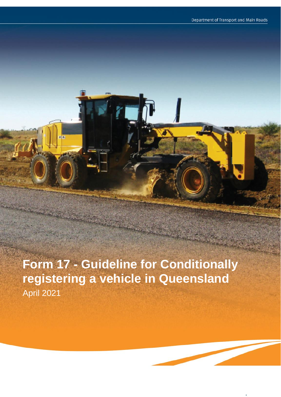**Form 17 - Guideline for Conditionally registering a vehicle in Queensland** April 2021

r a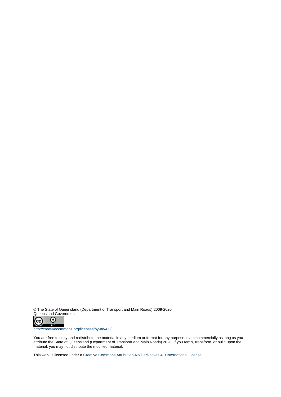© The State of Queensland (Department of Transport and Main Roads) 2009-2020 Queensland Government



http://creativecommons.org/licenses/by-nd/4.0/

You are free to copy and redistribute the material in any medium or format for any purpose, even commercially.as long as you attribute the State of Queensland (Department of Transport and Main Roads) 2020. If you remix, transform, or build upon the material, you may not distribute the modified material.

This work is licensed under a Creative Commons Attribution-No Derivatives 4.0 International License.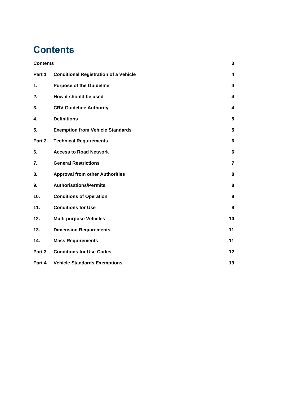# **Contents**

| <b>Contents</b>  |                                              | 3              |
|------------------|----------------------------------------------|----------------|
| Part 1           | <b>Conditional Registration of a Vehicle</b> | 4              |
| 1.               | <b>Purpose of the Guideline</b>              | 4              |
| 2.               | How it should be used                        | 4              |
| 3.               | <b>CRV Guideline Authority</b>               | 4              |
| 4.               | <b>Definitions</b>                           | 5              |
| 5.               | <b>Exemption from Vehicle Standards</b>      | 5              |
| Part 2           | <b>Technical Requirements</b>                | 6              |
| 6.               | <b>Access to Road Network</b>                | 6              |
| $\overline{7}$ . | <b>General Restrictions</b>                  | $\overline{7}$ |
| 8.               | <b>Approval from other Authorities</b>       | 8              |
| 9.               | <b>Authorisations/Permits</b>                | 8              |
| 10.              | <b>Conditions of Operation</b>               | 8              |
| 11.              | <b>Conditions for Use</b>                    | 9              |
| 12.              | <b>Multi-purpose Vehicles</b>                | 10             |
| 13.              | <b>Dimension Requirements</b>                | 11             |
| 14.              | <b>Mass Requirements</b>                     | 11             |
| Part 3           | <b>Conditions for Use Codes</b>              | 12             |
| Part 4           | <b>Vehicle Standards Exemptions</b>          | 19             |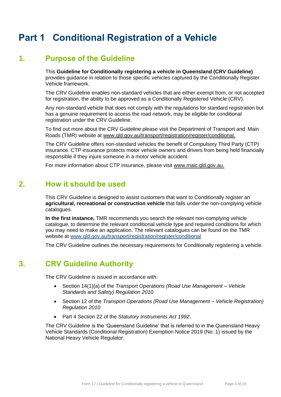# **Part 1 Conditional Registration of a Vehicle**

#### **1. Purpose of the Guideline**

This **Guideline for Conditionally registering a vehicle in Queensland (CRV Guideline)** provides guidance in relation to those specific vehicles captured by the Conditionally Register Vehicle framework.

The CRV Guideline enables non-standard vehicles that are either exempt from, or not accepted for registration, the ability to be approved as a Conditionally Registered Vehicle (CRV).

Any non-standard vehicle that does not comply with the regulations for standard registration but has a genuine requirement to access the road network, may be eligible for conditional registration under the CRV Guideline.

To find out more about the CRV Guideline please visit the Department of Transport and Main Roads (TMR) website at www.qld.gov.au/transport/registration/register/conditional.

The CRV Guideline offers non-standard vehicles the benefit of Compulsory Third Party (CTP) insurance. CTP insurance protects motor vehicle owners and drivers from being held financially responsible if they injure someone in a motor vehicle accident.

For more information about CTP insurance, please visit www.maic.qld.gov.au.

#### **2. How it should be used**

This CRV Guideline is designed to assist customers that want to Conditionally register an **agricultural, recreational or construction vehicle** that falls under the non-complying vehicle catalogues.

**In the first instance,** TMR recommends you search the relevant non-complying vehicle catalogue, to determine the relevant conditional vehicle type and required conditions for which you may need to make an application. The relevant catalogues can be found on the TMR website at www.qld.gov.au/transport/registration/register/conditional

The CRV Guideline outlines the necessary requirements for Conditionally registering a vehicle.

### **3. CRV Guideline Authority**

The CRV Guideline is issued in accordance with:

- Section 14(1)(a) of the *Transport Operations (Road Use Management – Vehicle Standards and Safety) Regulation 2010*
- Section 12 of the *Transport Operations (Road Use Management – Vehicle Registration) Regulation 2010*
- Part 4 Section 22 of the *Statutory Instruments Act 1992*.

The CRV Guideline is the 'Queensland Guideline' that is referred to in the Queensland Heavy Vehicle Standards (Conditional Registration) Exemption Notice 2019 (No. 1) issued by the National Heavy Vehicle Regulator.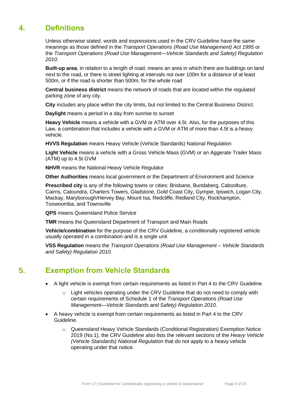### **4. Definitions**

Unless otherwise stated, words and expressions used in the CRV Guideline have the same meanings as those defined in the *Transport Operations (Road Use Management) Act 1995* or the *Transport Operations (Road Use Management—Vehicle Standards and Safety) Regulation 2010.*

**Built-up area**, in relation to a length of road, means an area in which there are buildings on land next to the road, or there is street lighting at intervals not over 100m for a distance of at least 500m, or if the road is shorter than 500m, for the whole road

**Central business district** means the network of roads that are located within the regulated parking zone of any city.

**City** includes any place within the city limits, but not limited to the Central Business District.

**Daylight** means a period in a day from sunrise to sunset

**Heavy Vehicle** means a vehicle with a GVM or ATM over 4.5t. Also, for the purposes of this Law, a combination that includes a vehicle with a GVM or ATM of more than 4.5t is a heavy vehicle.

**HVVS Regulation** means Heavy Vehicle (Vehicle Standards) National Regulation

**Light Vehicle** means a vehicle with a Gross Vehicle Mass (GVM) or an Aggerate Trailer Mass (ATM) up to 4.5t GVM

**NHVR** means the National Heavy Vehicle Regulator

**Other Authorities** means local government or the Department of Environment and Science

**Prescribed city** is any of the following towns or cities: Brisbane, Bundaberg, Caboolture, Cairns, Caloundra, Charters Towers, Gladstone, Gold Coast City, Gympie, Ipswich, Logan City, Mackay, Maryborough/Hervey Bay, Mount Isa, Redcliffe, Redland City, Rockhampton, Toowoomba, and Townsville

**QPS** means Queensland Police Service

**TMR** means the Queensland Department of Transport and Main Roads

**Vehicle/combination** for the purpose of the CRV Guideline, a conditionally registered vehicle usually operated in a combination and is a single unit

**VSS Regulation** means the *Transport Operations (Road Use Management – Vehicle Standards and Safety) Regulation 2010.*

### **5. Exemption from Vehicle Standards**

- A light vehicle is exempt from certain requirements as listed in Part 4 to the CRV Guideline.
	- $\circ$  Light vehicles operating under the CRV Guideline that do not need to comply with certain requirements of Schedule 1 of the *Transport Operations (Road Use Management—Vehicle Standards and Safety) Regulation 2010.*
- A heavy vehicle is exempt from certain requirements as listed in Part 4 to the CRV Guideline.
	- o Queensland Heavy Vehicle Standards (Conditional Registration) Exemption Notice 2019 (No.1), the CRV Guideline also lists the relevant sections of the *Heavy Vehicle (Vehicle Standards) National Regulation* that do not apply to a heavy vehicle operating under that notice.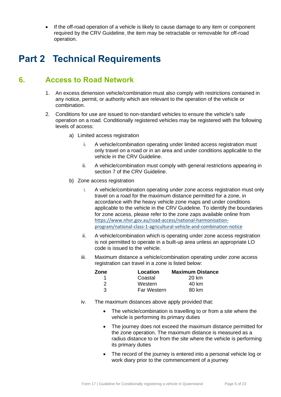• If the off-road operation of a vehicle is likely to cause damage to any item or component required by the CRV Guideline, the item may be retractable or removable for off-road operation.

## **Part 2 Technical Requirements**

### **6. Access to Road Network**

- 1. An excess dimension vehicle/combination must also comply with restrictions contained in any notice, permit, or authority which are relevant to the operation of the vehicle or combination.
- 2. Conditions for use are issued to non-standard vehicles to ensure the vehicle's safe operation on a road. Conditionally registered vehicles may be registered with the following levels of access:
	- a) Limited access registration
		- i. A vehicle/combination operating under limited access registration must only travel on a road or in an area and under conditions applicable to the vehicle in the CRV Guideline.
		- ii. A vehicle/combination must comply with general restrictions appearing in section 7 of the CRV Guideline.
	- b) Zone access registration
		- i. A vehicle/combination operating under zone access registration must only travel on a road for the maximum distance permitted for a zone, in accordance with the heavy vehicle zone maps and under conditions applicable to the vehicle in the CRV Guideline. To identify the boundaries for zone access, please refer to the zone zaps available online from https://www.nhvr.gov.au/road-access/national-harmonisationprogram/national-class-1-agricultural-vehicle-and-combination-notice
		- ii. A vehicle/combination which is operating under zone access registration is not permitted to operate in a built-up area unless an appropriate LO code is issued to the vehicle.
		- iii. Maximum distance a vehicle/combination operating under zone access registration can travel in a zone is listed below:

| Zone | Location           | <b>Maximum Distance</b> |
|------|--------------------|-------------------------|
|      | Coastal            | 20 km                   |
| 2    | Western            | 40 km                   |
| 3    | <b>Far Western</b> | 80 km                   |

- iv. The maximum distances above apply provided that:
	- The vehicle/combination is travelling to or from a site where the vehicle is performing its primary duties
	- The journey does not exceed the maximum distance permitted for the zone operation. The maximum distance is measured as a radius distance to or from the site where the vehicle is performing its primary duties
	- The record of the journey is entered into a personal vehicle log or work diary prior to the commencement of a journey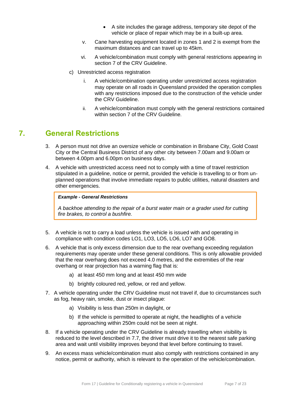- A site includes the garage address, temporary site depot of the vehicle or place of repair which may be in a built-up area.
- v. Cane harvesting equipment located in zones 1 and 2 is exempt from the maximum distances and can travel up to 45km.
- vi. A vehicle/combination must comply with general restrictions appearing in section 7 of the CRV Guideline.
- c) Unrestricted access registration
	- i. A vehicle/combination operating under unrestricted access registration may operate on all roads in Queensland provided the operation complies with any restrictions imposed due to the construction of the vehicle under the CRV Guideline.
	- ii. A vehicle/combination must comply with the general restrictions contained within section 7 of the CRV Guideline.

#### **7. General Restrictions**

- 3. A person must not drive an oversize vehicle or combination in Brisbane City, Gold Coast City or the Central Business District of any other city between 7.00am and 9.00am or between 4.00pm and 6.00pm on business days.
- 4. A vehicle with unrestricted access need not to comply with a time of travel restriction stipulated in a guideline, notice or permit, provided the vehicle is travelling to or from unplanned operations that involve immediate repairs to public utilities, natural disasters and other emergencies.

#### *Example - General Restrictions*

*A backhoe attending to the repair of a burst water main or a grader used for cutting fire brakes, to control a bushfire.*

- 5. A vehicle is not to carry a load unless the vehicle is issued with and operating in compliance with condition codes LO1, LO3, LO5, LO6, LO7 and GO8.
- 6. A vehicle that is only excess dimension due to the rear overhang exceeding regulation requirements may operate under these general conditions. This is only allowable provided that the rear overhang does not exceed 4.0 metres, and the extremities of the rear overhang or rear projection has a warning flag that is:
	- a) at least 450 mm long and at least 450 mm wide
	- b) brightly coloured red, yellow, or red and yellow.
- 7. A vehicle operating under the CRV Guideline must not travel if, due to circumstances such as fog, heavy rain, smoke, dust or insect plague:
	- a) Visibility is less than 250m in daylight, or
	- b) If the vehicle is permitted to operate at night, the headlights of a vehicle approaching within 250m could not be seen at night.
- 8. If a vehicle operating under the CRV Guideline is already travelling when visibility is reduced to the level described in 7.7, the driver must drive it to the nearest safe parking area and wait until visibility improves beyond that level before continuing to travel.
- 9. An excess mass vehicle/combination must also comply with restrictions contained in any notice, permit or authority, which is relevant to the operation of the vehicle/combination.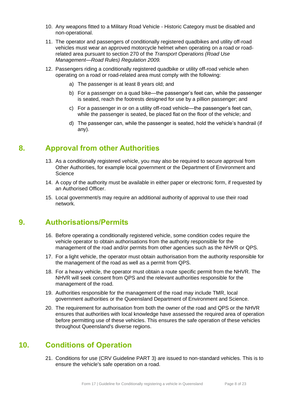- 10. Any weapons fitted to a Military Road Vehicle Historic Category must be disabled and non-operational.
- 11. The operator and passengers of conditionally registered quadbikes and utility off-road vehicles must wear an approved motorcycle helmet when operating on a road or roadrelated area pursuant to section 270 of the *Transport Operations (Road Use Management—Road Rules) Regulation 2009.*
- 12. Passengers riding a conditionally registered quadbike or utility off-road vehicle when operating on a road or road-related area must comply with the following:
	- a) The passenger is at least 8 years old; and
	- b) For a passenger on a quad bike—the passenger's feet can, while the passenger is seated, reach the footrests designed for use by a pillion passenger; and
	- c) For a passenger in or on a utility off-road vehicle—the passenger's feet can, while the passenger is seated, be placed flat on the floor of the vehicle; and
	- d) The passenger can, while the passenger is seated, hold the vehicle's handrail (if any).

#### **8. Approval from other Authorities**

- 13. As a conditionally registered vehicle, you may also be required to secure approval from Other Authorities, for example local government or the Department of Environment and **Science**
- 14. A copy of the authority must be available in either paper or electronic form, if requested by an Authorised Officer.
- 15. Local government/s may require an additional authority of approval to use their road network.

#### **9. Authorisations/Permits**

- 16. Before operating a conditionally registered vehicle, some condition codes require the vehicle operator to obtain authorisations from the authority responsible for the management of the road and/or permits from other agencies such as the NHVR or QPS.
- 17. For a light vehicle, the operator must obtain authorisation from the authority responsible for the management of the road as well as a permit from QPS.
- 18. For a heavy vehicle, the operator must obtain a route specific permit from the NHVR. The NHVR will seek consent from QPS and the relevant authorities responsible for the management of the road.
- 19. Authorities responsible for the management of the road may include TMR, local government authorities or the Queensland Department of Environment and Science.
- 20. The requirement for authorisation from both the owner of the road and QPS or the NHVR ensures that authorities with local knowledge have assessed the required area of operation before permitting use of these vehicles. This ensures the safe operation of these vehicles throughout Queensland's diverse regions.

#### **10. Conditions of Operation**

21. Conditions for use (CRV Guideline PART 3) are issued to non-standard vehicles. This is to ensure the vehicle's safe operation on a road.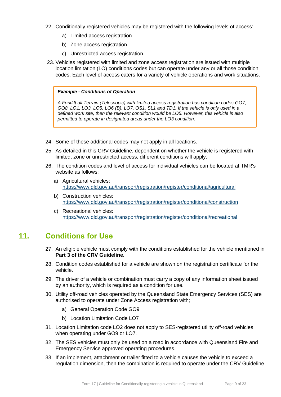- 22. Conditionally registered vehicles may be registered with the following levels of access:
	- a) Limited access registration
	- b) Zone access registration
	- c) Unrestricted access registration.
- 23. Vehicles registered with limited and zone access registration are issued with multiple location limitation (LO) conditions codes but can operate under any or all those condition codes. Each level of access caters for a variety of vehicle operations and work situations.

#### *Example - Conditions of Operation*

*A Forklift all Terrain (Telescopic) with limited access registration has condition codes GO7, GO8, LO1, LO3, LO5, LO6 (B), LO7, OS1, SL1 and TD1. If the vehicle is only used in a defined work site, then the relevant condition would be LO5. However, this vehicle is also permitted to operate in designated areas under the LO3 condition.* 

- 24. Some of these additional codes may not apply in all locations.
- 25. As detailed in this CRV Guideline, dependent on whether the vehicle is registered with limited, zone or unrestricted access, different conditions will apply.
- 26. The condition codes and level of access for individual vehicles can be located at TMR's website as follows:
	- a) Agricultural vehicles: https://www.qld.gov.au/transport/registration/register/conditional/agricultural
	- b) Construction vehicles: https://www.qld.gov.au/transport/registration/register/conditional/construction
	- c) Recreational vehicles: https://www.qld.gov.au/transport/registration/register/conditional/recreational

#### **11. Conditions for Use**

- 27. An eligible vehicle must comply with the conditions established for the vehicle mentioned in **Part 3 of the CRV Guideline.**
- 28. Condition codes established for a vehicle are shown on the registration certificate for the vehicle.
- 29. The driver of a vehicle or combination must carry a copy of any information sheet issued by an authority, which is required as a condition for use.
- 30. Utility off-road vehicles operated by the Queensland State Emergency Services (SES) are authorised to operate under Zone Access registration with;
	- a) General Operation Code GO9
	- b) Location Limitation Code LO7
- 31. Location Limitation code LO2 does not apply to SES-registered utility off-road vehicles when operating under GO9 or LO7.
- 32. The SES vehicles must only be used on a road in accordance with Queensland Fire and Emergency Service approved operating procedures.
- 33. If an implement, attachment or trailer fitted to a vehicle causes the vehicle to exceed a regulation dimension, then the combination is required to operate under the CRV Guideline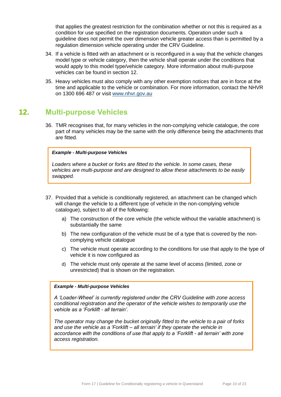that applies the greatest restriction for the combination whether or not this is required as a condition for use specified on the registration documents. Operation under such a guideline does not permit the over dimension vehicle greater access than is permitted by a regulation dimension vehicle operating under the CRV Guideline.

- 34. If a vehicle is fitted with an attachment or is reconfigured in a way that the vehicle changes model type or vehicle category, then the vehicle shall operate under the conditions that would apply to this model type/vehicle category. More information about multi-purpose vehicles can be found in section 12.
- 35. Heavy vehicles must also comply with any other exemption notices that are in force at the time and applicable to the vehicle or combination. For more information, contact the NHVR on 1300 696 487 or visit www.nhvr.gov.au

#### **12. Multi-purpose Vehicles**

36. TMR recognises that, for many vehicles in the non-complying vehicle catalogue, the core part of many vehicles may be the same with the only difference being the attachments that are fitted.

#### *Example - Multi-purpose Vehicles*

*Loaders where a bucket or forks are fitted to the vehicle. In some cases, these vehicles are multi-purpose and are designed to allow these attachments to be easily swapped.*

- 37. Provided that a vehicle is conditionally registered, an attachment can be changed which will change the vehicle to a different type of vehicle in the non-complying vehicle catalogue), subject to all of the following:
	- a) The construction of the core vehicle (the vehicle without the variable attachment) is substantially the same
	- b) The new configuration of the vehicle must be of a type that is covered by the noncomplying vehicle catalogue
	- c) The vehicle must operate according to the conditions for use that apply to the type of vehicle it is now configured as
	- d) The vehicle must only operate at the same level of access (limited, zone or unrestricted) that is shown on the registration.

#### *Example - Multi-purpose Vehicles*

*A 'Loader-Wheel' is currently registered under the CRV Guideline with zone access conditional registration and the operator of the vehicle wishes to temporarily use the vehicle as a 'Forklift - all terrain'.* 

*The operator may change the bucket originally fitted to the vehicle to a pair of forks and use the vehicle as a 'Forklift – all terrain' if they operate the vehicle in accordance with the conditions of use that apply to a 'Forklift - all terrain' with zone access registration.*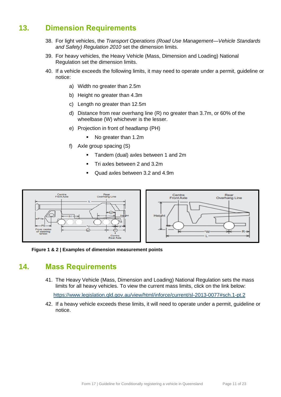### **13. Dimension Requirements**

- 38. For light vehicles, the *Transport Operations (Road Use Management—Vehicle Standards and Safety) Regulation 2010* set the dimension limits.
- 39. For heavy vehicles, the Heavy Vehicle (Mass, Dimension and Loading) National Regulation set the dimension limits.
- 40. If a vehicle exceeds the following limits, it may need to operate under a permit, guideline or notice:
	- a) Width no greater than 2.5m
	- b) Height no greater than 4.3m
	- c) Length no greater than 12.5m
	- d) Distance from rear overhang line (R) no greater than 3.7m, or 60% of the wheelbase (W) whichever is the lesser.
	- e) Projection in front of headlamp (PH)
		- No greater than 1.2m
	- f) Axle group spacing (S)
		- Tandem (dual) axles between 1 and 2m
		- **•** Tri axles between 2 and 3.2m
		- Quad axles between 3.2 and 4.9m



**Figure 1 & 2 | Examples of dimension measurement points**

#### **14. Mass Requirements**

41. The Heavy Vehicle (Mass, Dimension and Loading) National Regulation sets the mass limits for all heavy vehicles. To view the current mass limits, click on the link below:

https://www.legislation.qld.gov.au/view/html/inforce/current/sl-2013-0077#sch.1-pt.2

42. If a heavy vehicle exceeds these limits, it will need to operate under a permit, guideline or notice.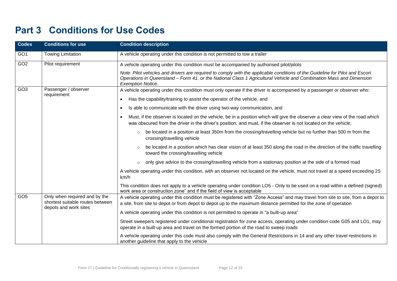## **Part 3 Conditions for Use Codes**

| <b>Codes</b>    | <b>Conditions for use</b>                                                                  | <b>Condition description</b>                                                                                                                                                                                                                                                    |  |
|-----------------|--------------------------------------------------------------------------------------------|---------------------------------------------------------------------------------------------------------------------------------------------------------------------------------------------------------------------------------------------------------------------------------|--|
| GO <sub>1</sub> | <b>Towing Limitation</b>                                                                   | A vehicle operating under this condition is not permitted to tow a trailer                                                                                                                                                                                                      |  |
| GO2             | Pilot requirement                                                                          | A vehicle operating under this condition must be accompanied by authorised pilot/pilots                                                                                                                                                                                         |  |
|                 |                                                                                            | Note: Pilot vehicles and drivers are required to comply with the applicable conditions of the Guideline for Pilot and Escort<br>Operations in Queensland – Form 41, or the National Class 1 Agricultural Vehicle and Combination Mass and Dimension<br><b>Exemption Notice.</b> |  |
| GO <sub>3</sub> | Passenger / observer                                                                       | A vehicle operating under this condition must only operate if the driver is accompanied by a passenger or observer who:                                                                                                                                                         |  |
|                 | requirement                                                                                | Has the capability/training to assist the operator of the vehicle, and<br>$\bullet$                                                                                                                                                                                             |  |
|                 |                                                                                            | Is able to communicate with the driver using two-way communication, and<br>$\bullet$                                                                                                                                                                                            |  |
|                 |                                                                                            | Must, if the observer is located on the vehicle, be in a position which will give the observer a clear view of the road which<br>$\bullet$<br>was obscured from the driver in the driver's position; and must, if the observer is not located on the vehicle:                   |  |
|                 |                                                                                            | be located in a position at least 350m from the crossing/travelling vehicle but no further than 500 m from the<br>$\circ$<br>crossing/travelling vehicle                                                                                                                        |  |
|                 |                                                                                            | be located in a position which has clear vision of at least 350 along the road in the direction of the traffic travelling<br>$\circ$<br>toward the crossing/travelling vehicle                                                                                                  |  |
|                 |                                                                                            | only give advice to the crossing/travelling vehicle from a stationary position at the side of a formed road<br>$\circ$                                                                                                                                                          |  |
| km/h            |                                                                                            | A vehicle operating under this condition, with an observer not located on the vehicle, must not travel at a speed exceeding 25                                                                                                                                                  |  |
|                 |                                                                                            | This condition does not apply to a vehicle operating under condition LO5 - Only to be used on a road within a defined (signed)<br>work area or construction zone" and if the field of view is acceptable                                                                        |  |
| GO <sub>5</sub> | Only when required and by the<br>shortest suitable routes between<br>depots and work sites | A vehicle operating under this condition must be registered with "Zone Access" and may travel from site to site, from a depot to<br>a site, from site to depot or from depot to depot up to the maximum distance permitted for the zone of operation                            |  |
|                 |                                                                                            | A vehicle operating under this condition is not permitted to operate in "a built-up area"                                                                                                                                                                                       |  |
|                 |                                                                                            | Street sweepers registered under conditional registration for zone access, operating under condition code G05 and LO1, may<br>operate in a built-up area and travel on the formed portion of the road to sweep roads                                                            |  |
|                 |                                                                                            | A vehicle operating under this code must also comply with the General Restrictions in 14 and any other travel restrictions in<br>another guideline that apply to the vehicle                                                                                                    |  |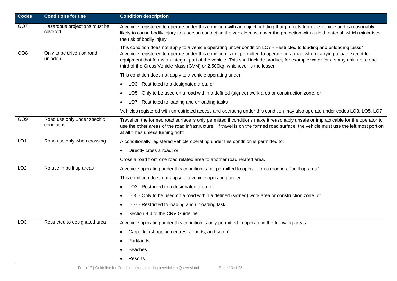| <b>Codes</b>    | <b>Conditions for use</b>                  | <b>Condition description</b>                                                                                                                                                                                                                                                                                                               |  |  |
|-----------------|--------------------------------------------|--------------------------------------------------------------------------------------------------------------------------------------------------------------------------------------------------------------------------------------------------------------------------------------------------------------------------------------------|--|--|
| GO7             | Hazardous projections must be<br>covered   | A vehicle registered to operate under this condition with an object or fitting that projects from the vehicle and is reasonably<br>likely to cause bodily injury to a person contacting the vehicle must cover the projection with a rigid material, which minimises<br>the risk of bodily injury                                          |  |  |
|                 |                                            | This condition does not apply to a vehicle operating under condition LO7 - Restricted to loading and unloading tasks"                                                                                                                                                                                                                      |  |  |
| GO <sub>8</sub> | Only to be driven on road<br>unladen       | A vehicle registered to operate under this condition is not permitted to operate on a road when carrying a load except for<br>equipment that forms an integral part of the vehicle. This shall include product, for example water for a spray unit, up to one<br>third of the Gross Vehicle Mass (GVM) or 2,500kg, whichever is the lesser |  |  |
|                 |                                            | This condition does not apply to a vehicle operating under:                                                                                                                                                                                                                                                                                |  |  |
|                 |                                            | LO3 - Restricted to a designated area, or<br>$\bullet$                                                                                                                                                                                                                                                                                     |  |  |
|                 |                                            | LO5 - Only to be used on a road within a defined (signed) work area or construction zone, or<br>$\bullet$                                                                                                                                                                                                                                  |  |  |
|                 |                                            | LO7 - Restricted to loading and unloading tasks                                                                                                                                                                                                                                                                                            |  |  |
|                 |                                            | Vehicles registered with unrestricted access and operating under this condition may also operate under codes LO3, LO5, LO7                                                                                                                                                                                                                 |  |  |
| GO <sub>9</sub> | Road use only under specific<br>conditions | Travel on the formed road surface is only permitted if conditions make it reasonably unsafe or impracticable for the operator to<br>use the other areas of the road infrastructure. If travel is on the formed road surface, the vehicle must use the left most portion<br>at all times unless turning right                               |  |  |
| LO <sub>1</sub> | Road use only when crossing                | A conditionally registered vehicle operating under this condition is permitted to:                                                                                                                                                                                                                                                         |  |  |
|                 |                                            | Directly cross a road; or<br>$\bullet$                                                                                                                                                                                                                                                                                                     |  |  |
|                 |                                            | Cross a road from one road related area to another road related area.                                                                                                                                                                                                                                                                      |  |  |
| LO <sub>2</sub> | No use in built up areas                   | A vehicle operating under this condition is not permitted to operate on a road in a "built up area"                                                                                                                                                                                                                                        |  |  |
|                 |                                            | This condition does not apply to a vehicle operating under:                                                                                                                                                                                                                                                                                |  |  |
|                 |                                            | LO3 - Restricted to a designated area, or<br>$\bullet$                                                                                                                                                                                                                                                                                     |  |  |
|                 |                                            | LO5 - Only to be used on a road within a defined (signed) work area or construction zone, or<br>$\bullet$                                                                                                                                                                                                                                  |  |  |
|                 |                                            | LO7 - Restricted to loading and unloading task<br>$\bullet$                                                                                                                                                                                                                                                                                |  |  |
|                 |                                            | Section 8.4 to the CRV Guideline.                                                                                                                                                                                                                                                                                                          |  |  |
| LO <sub>3</sub> | Restricted to designated area              | A vehicle operating under this condition is only permitted to operate in the following areas:                                                                                                                                                                                                                                              |  |  |
|                 |                                            | Carparks (shopping centres, airports, and so on)<br>$\bullet$                                                                                                                                                                                                                                                                              |  |  |
|                 |                                            | Parklands<br>$\bullet$                                                                                                                                                                                                                                                                                                                     |  |  |
|                 |                                            | <b>Beaches</b>                                                                                                                                                                                                                                                                                                                             |  |  |
|                 |                                            | Resorts<br>$\bullet$                                                                                                                                                                                                                                                                                                                       |  |  |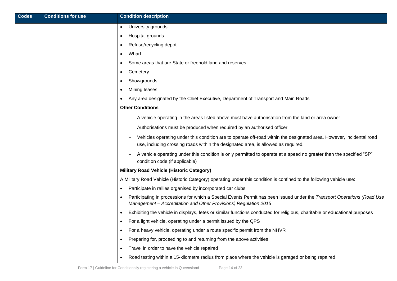| <b>Codes</b> | <b>Conditions for use</b> | <b>Condition description</b>                                                                                                                                                                              |
|--------------|---------------------------|-----------------------------------------------------------------------------------------------------------------------------------------------------------------------------------------------------------|
|              |                           | University grounds<br>$\bullet$                                                                                                                                                                           |
|              |                           | Hospital grounds<br>٠                                                                                                                                                                                     |
|              |                           | Refuse/recycling depot<br>٠                                                                                                                                                                               |
|              |                           | Wharf<br>$\bullet$                                                                                                                                                                                        |
|              |                           | Some areas that are State or freehold land and reserves                                                                                                                                                   |
|              |                           | Cemetery<br>$\bullet$                                                                                                                                                                                     |
|              |                           | Showgrounds                                                                                                                                                                                               |
|              |                           | Mining leases<br>$\bullet$                                                                                                                                                                                |
|              |                           | Any area designated by the Chief Executive, Department of Transport and Main Roads<br>$\bullet$                                                                                                           |
|              |                           | <b>Other Conditions</b>                                                                                                                                                                                   |
|              |                           | A vehicle operating in the areas listed above must have authorisation from the land or area owner                                                                                                         |
|              |                           | Authorisations must be produced when required by an authorised officer                                                                                                                                    |
|              |                           | Vehicles operating under this condition are to operate off-road within the designated area. However, incidental road<br>use, including crossing roads within the designated area, is allowed as required. |
|              |                           | A vehicle operating under this condition is only permitted to operate at a speed no greater than the specified "SP"<br>condition code (if applicable)                                                     |
|              |                           | <b>Military Road Vehicle (Historic Category)</b>                                                                                                                                                          |
|              |                           | A Military Road Vehicle (Historic Category) operating under this condition is confined to the following vehicle use:                                                                                      |
|              |                           | Participate in rallies organised by incorporated car clubs<br>$\bullet$                                                                                                                                   |
|              |                           | Participating in processions for which a Special Events Permit has been issued under the Transport Operations (Road Use<br>Management - Accreditation and Other Provisions) Regulation 2015               |
|              |                           | Exhibiting the vehicle in displays, fetes or similar functions conducted for religious, charitable or educational purposes                                                                                |
|              |                           | For a light vehicle, operating under a permit issued by the QPS<br>$\bullet$                                                                                                                              |
|              |                           | For a heavy vehicle, operating under a route specific permit from the NHVR<br>$\bullet$                                                                                                                   |
|              |                           | Preparing for, proceeding to and returning from the above activities<br>$\bullet$                                                                                                                         |
|              |                           | Travel in order to have the vehicle repaired<br>$\bullet$                                                                                                                                                 |
|              |                           | Road testing within a 15-kilometre radius from place where the vehicle is garaged or being repaired<br>$\bullet$                                                                                          |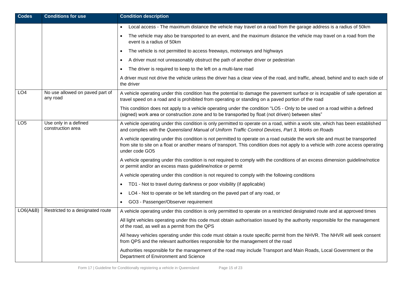| <b>Codes</b>                                                  | <b>Conditions for use</b>                   | <b>Condition description</b>                                                                                                                                                                                                                                                        |  |  |
|---------------------------------------------------------------|---------------------------------------------|-------------------------------------------------------------------------------------------------------------------------------------------------------------------------------------------------------------------------------------------------------------------------------------|--|--|
|                                                               |                                             | Local access - The maximum distance the vehicle may travel on a road from the garage address is a radius of 50km<br>$\bullet$                                                                                                                                                       |  |  |
|                                                               |                                             | The vehicle may also be transported to an event, and the maximum distance the vehicle may travel on a road from the<br>$\bullet$<br>event is a radius of 50km                                                                                                                       |  |  |
|                                                               |                                             | The vehicle is not permitted to access freeways, motorways and highways<br>$\bullet$                                                                                                                                                                                                |  |  |
|                                                               |                                             | A driver must not unreasonably obstruct the path of another driver or pedestrian<br>$\bullet$                                                                                                                                                                                       |  |  |
|                                                               |                                             | The driver is required to keep to the left on a multi-lane road                                                                                                                                                                                                                     |  |  |
|                                                               |                                             | A driver must not drive the vehicle unless the driver has a clear view of the road, and traffic, ahead, behind and to each side of<br>the driver                                                                                                                                    |  |  |
| LO <sub>4</sub>                                               | No use allowed on paved part of<br>any road | A vehicle operating under this condition has the potential to damage the pavement surface or is incapable of safe operation at<br>travel speed on a road and is prohibited from operating or standing on a paved portion of the road                                                |  |  |
|                                                               |                                             | This condition does not apply to a vehicle operating under the condition "LO5 - Only to be used on a road within a defined<br>(signed) work area or construction zone and to be transported by float (not driven) between sites"                                                    |  |  |
| LO <sub>5</sub><br>Use only in a defined<br>construction area |                                             | A vehicle operating under this condition is only permitted to operate on a road, within a work site, which has been established<br>and complies with the Queensland Manual of Uniform Traffic Control Devices, Part 3, Works on Roads                                               |  |  |
|                                                               |                                             | A vehicle operating under this condition is not permitted to operate on a road outside the work site and must be transported<br>from site to site on a float or another means of transport. This condition does not apply to a vehicle with zone access operating<br>under code GO5 |  |  |
|                                                               |                                             | A vehicle operating under this condition is not required to comply with the conditions of an excess dimension guideline/notice<br>or permit and/or an excess mass guideline/notice or permit                                                                                        |  |  |
|                                                               |                                             | A vehicle operating under this condition is not required to comply with the following conditions                                                                                                                                                                                    |  |  |
|                                                               |                                             | TD1 - Not to travel during darkness or poor visibility (if applicable)<br>$\bullet$                                                                                                                                                                                                 |  |  |
|                                                               |                                             | LO4 - Not to operate or be left standing on the paved part of any road, or<br>$\bullet$                                                                                                                                                                                             |  |  |
|                                                               |                                             | GO3 - Passenger/Observer requirement                                                                                                                                                                                                                                                |  |  |
| LOG(A&B)                                                      | Restricted to a designated route            | A vehicle operating under this condition is only permitted to operate on a restricted designated route and at approved times                                                                                                                                                        |  |  |
|                                                               |                                             | All light vehicles operating under this code must obtain authorisation issued by the authority responsible for the management<br>of the road, as well as a permit from the QPS                                                                                                      |  |  |
|                                                               |                                             | All heavy vehicles operating under this code must obtain a route specific permit from the NHVR. The NHVR will seek consent<br>from QPS and the relevant authorities responsible for the management of the road                                                                      |  |  |
|                                                               |                                             | Authorities responsible for the management of the road may include Transport and Main Roads, Local Government or the<br>Department of Environment and Science                                                                                                                       |  |  |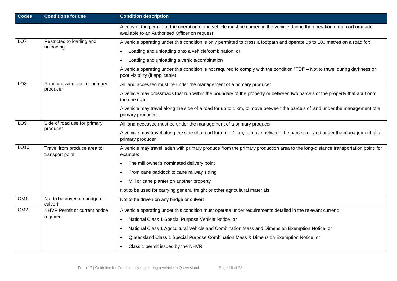| <b>Codes</b>    | <b>Conditions for use</b>                      | <b>Condition description</b>                                                                                                                                                 |  |  |
|-----------------|------------------------------------------------|------------------------------------------------------------------------------------------------------------------------------------------------------------------------------|--|--|
|                 |                                                | A copy of the permit for the operation of the vehicle must be carried in the vehicle during the operation on a road or made<br>available to an Authorised Officer on request |  |  |
| LO <sub>7</sub> | Restricted to loading and<br>unloading         | A vehicle operating under this condition is only permitted to cross a footpath and operate up to 100 metres on a road for:                                                   |  |  |
|                 |                                                | Loading and unloading onto a vehicle/combination, or<br>$\bullet$                                                                                                            |  |  |
|                 |                                                | Loading and unloading a vehicle/combination<br>$\bullet$                                                                                                                     |  |  |
|                 |                                                | A vehicle operating under this condition is not required to comply with the condition "TDI" – Not to travel during darkness or<br>poor visibility (if applicable)            |  |  |
| LO <sub>8</sub> | Road crossing use for primary<br>producer      | All land accessed must be under the management of a primary producer                                                                                                         |  |  |
|                 |                                                | A vehicle may crossroads that run within the boundary of the property or between two parcels of the property that abut onto<br>the one road                                  |  |  |
|                 |                                                | A vehicle may travel along the side of a road for up to 1 km, to move between the parcels of land under the management of a<br>primary producer                              |  |  |
| LO <sub>9</sub> | Side of road use for primary<br>producer       | All land accessed must be under the management of a primary producer                                                                                                         |  |  |
|                 |                                                | A vehicle may travel along the side of a road for up to 1 km, to move between the parcels of land under the management of a<br>primary producer                              |  |  |
| LO10            | Travel from produce area to<br>transport point | A vehicle may travel laden with primary produce from the primary production area to the long-distance transportation point, for<br>example:                                  |  |  |
|                 |                                                | The mill owner's nominated delivery point<br>$\bullet$                                                                                                                       |  |  |
|                 |                                                | From cane paddock to cane railway siding<br>$\bullet$                                                                                                                        |  |  |
|                 |                                                | Mill or cane planter on another property<br>$\bullet$                                                                                                                        |  |  |
|                 |                                                | Not to be used for carrying general freight or other agricultural materials                                                                                                  |  |  |
| OM <sub>1</sub> | Not to be driven on bridge or<br>culvert       | Not to be driven on any bridge or culvert                                                                                                                                    |  |  |
| OM2             | NHVR Permit or current notice                  | A vehicle operating under this condition must operate under requirements detailed in the relevant current:                                                                   |  |  |
|                 | required                                       | National Class 1 Special Purpose Vehicle Notice, or<br>$\bullet$                                                                                                             |  |  |
|                 |                                                | National Class 1 Agricultural Vehicle and Combination Mass and Dimension Exemption Notice, or<br>$\bullet$                                                                   |  |  |
|                 |                                                | Queensland Class 1 Special Purpose Combination Mass & Dimension Exemption Notice, or                                                                                         |  |  |
|                 |                                                | Class 1 permit issued by the NHVR                                                                                                                                            |  |  |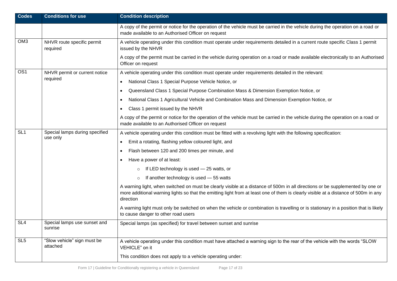| <b>Codes</b>    | <b>Conditions for use</b>                  | <b>Condition description</b>                                                                                                                                                                                                                                                       |  |  |
|-----------------|--------------------------------------------|------------------------------------------------------------------------------------------------------------------------------------------------------------------------------------------------------------------------------------------------------------------------------------|--|--|
|                 |                                            | A copy of the permit or notice for the operation of the vehicle must be carried in the vehicle during the operation on a road or<br>made available to an Authorised Officer on request                                                                                             |  |  |
| OM <sub>3</sub> | NHVR route specific permit<br>required     | A vehicle operating under this condition must operate under requirements detailed in a current route specific Class 1 permit<br>issued by the NHVR                                                                                                                                 |  |  |
|                 |                                            | A copy of the permit must be carried in the vehicle during operation on a road or made available electronically to an Authorised<br>Officer on request                                                                                                                             |  |  |
| OS <sub>1</sub> | NHVR permit or current notice              | A vehicle operating under this condition must operate under requirements detailed in the relevant:                                                                                                                                                                                 |  |  |
|                 | required                                   | National Class 1 Special Purpose Vehicle Notice, or<br>$\bullet$                                                                                                                                                                                                                   |  |  |
|                 |                                            | Queensland Class 1 Special Purpose Combination Mass & Dimension Exemption Notice, or<br>$\bullet$                                                                                                                                                                                  |  |  |
|                 |                                            | National Class 1 Agricultural Vehicle and Combination Mass and Dimension Exemption Notice, or<br>٠                                                                                                                                                                                 |  |  |
|                 |                                            | Class 1 permit issued by the NHVR<br>$\bullet$                                                                                                                                                                                                                                     |  |  |
|                 |                                            | A copy of the permit or notice for the operation of the vehicle must be carried in the vehicle during the operation on a road or<br>made available to an Authorised Officer on request                                                                                             |  |  |
| SL <sub>1</sub> | Special lamps during specified<br>use only | A vehicle operating under this condition must be fitted with a revolving light with the following specification:                                                                                                                                                                   |  |  |
|                 |                                            | Emit a rotating, flashing yellow coloured light, and<br>$\bullet$                                                                                                                                                                                                                  |  |  |
|                 |                                            | Flash between 120 and 200 times per minute, and<br>$\bullet$                                                                                                                                                                                                                       |  |  |
|                 |                                            | Have a power of at least:<br>$\bullet$                                                                                                                                                                                                                                             |  |  |
|                 |                                            | If LED technology is used - 25 watts, or<br>$\circ$                                                                                                                                                                                                                                |  |  |
|                 |                                            | If another technology is used - 55 watts<br>$\circ$                                                                                                                                                                                                                                |  |  |
|                 |                                            | A warning light, when switched on must be clearly visible at a distance of 500m in all directions or be supplemented by one or<br>more additional warning lights so that the emitting light from at least one of them is clearly visible at a distance of 500m in any<br>direction |  |  |
|                 |                                            | A warning light must only be switched on when the vehicle or combination is travelling or is stationary in a position that is likely<br>to cause danger to other road users                                                                                                        |  |  |
| SL <sub>4</sub> | Special lamps use sunset and<br>sunrise    | Special lamps (as specified) for travel between sunset and sunrise                                                                                                                                                                                                                 |  |  |
| SL <sub>5</sub> | "Slow vehicle" sign must be<br>attached    | A vehicle operating under this condition must have attached a warning sign to the rear of the vehicle with the words "SLOW<br>VEHICLE" on it                                                                                                                                       |  |  |
|                 |                                            | This condition does not apply to a vehicle operating under:                                                                                                                                                                                                                        |  |  |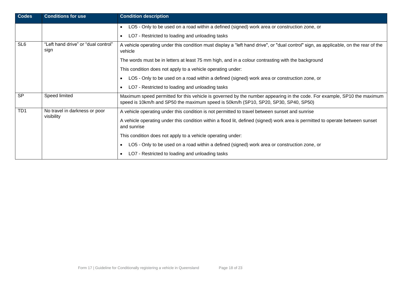| <b>Codes</b>    | <b>Conditions for use</b>                                                                                                                                                                      | <b>Condition description</b>                                                                                                                                                                                   |  |
|-----------------|------------------------------------------------------------------------------------------------------------------------------------------------------------------------------------------------|----------------------------------------------------------------------------------------------------------------------------------------------------------------------------------------------------------------|--|
|                 |                                                                                                                                                                                                | LO5 - Only to be used on a road within a defined (signed) work area or construction zone, or<br>$\bullet$                                                                                                      |  |
|                 |                                                                                                                                                                                                | LO7 - Restricted to loading and unloading tasks<br>$\bullet$                                                                                                                                                   |  |
| SL <sub>6</sub> | "Left hand drive" or "dual control"<br>A vehicle operating under this condition must display a "left hand drive", or "dual control" sign, as applicable, on the rear of the<br>sign<br>vehicle |                                                                                                                                                                                                                |  |
|                 |                                                                                                                                                                                                | The words must be in letters at least 75 mm high, and in a colour contrasting with the background                                                                                                              |  |
|                 |                                                                                                                                                                                                | This condition does not apply to a vehicle operating under:                                                                                                                                                    |  |
|                 |                                                                                                                                                                                                | LO5 - Only to be used on a road within a defined (signed) work area or construction zone, or<br>$\bullet$                                                                                                      |  |
|                 |                                                                                                                                                                                                | LO7 - Restricted to loading and unloading tasks<br>$\bullet$                                                                                                                                                   |  |
| <b>SP</b>       | Speed limited                                                                                                                                                                                  | Maximum speed permitted for this vehicle is governed by the number appearing in the code. For example, SP10 the maximum<br>speed is 10km/h and SP50 the maximum speed is 50km/h (SP10, SP20, SP30, SP40, SP50) |  |
| TD <sub>1</sub> | No travel in darkness or poor<br>visibility                                                                                                                                                    | A vehicle operating under this condition is not permitted to travel between sunset and sunrise                                                                                                                 |  |
|                 |                                                                                                                                                                                                | A vehicle operating under this condition within a flood lit, defined (signed) work area is permitted to operate between sunset<br>and sunrise                                                                  |  |
|                 |                                                                                                                                                                                                | This condition does not apply to a vehicle operating under:                                                                                                                                                    |  |
|                 |                                                                                                                                                                                                | LO5 - Only to be used on a road within a defined (signed) work area or construction zone, or<br>$\bullet$                                                                                                      |  |
|                 |                                                                                                                                                                                                | LO7 - Restricted to loading and unloading tasks                                                                                                                                                                |  |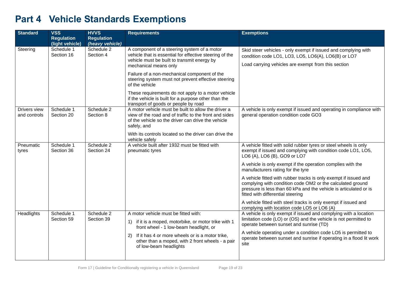# **Part 4 Vehicle Standards Exemptions**

| <b>Standard</b>              | <b>VSS</b>               | <b>HVVS</b>              | <b>Requirements</b>                                                                                                                                                                | <b>Exemptions</b>                                                                                                                                                                                                                        |
|------------------------------|--------------------------|--------------------------|------------------------------------------------------------------------------------------------------------------------------------------------------------------------------------|------------------------------------------------------------------------------------------------------------------------------------------------------------------------------------------------------------------------------------------|
|                              | <b>Regulation</b>        | <b>Regulation</b>        |                                                                                                                                                                                    |                                                                                                                                                                                                                                          |
|                              | (light vehicle)          | (heavy vehicle)          |                                                                                                                                                                                    |                                                                                                                                                                                                                                          |
| Steering                     | Schedule 1<br>Section 16 | Schedule 2<br>Section 4  | A component of a steering system of a motor<br>vehicle that is essential for effective steering of the                                                                             | Skid steer vehicles - only exempt if issued and complying with<br>condition code LO1, LO3, LO5, LO6(A), LO6(B) or LO7                                                                                                                    |
|                              |                          |                          | vehicle must be built to transmit energy by<br>mechanical means only                                                                                                               | Load carrying vehicles are exempt from this section                                                                                                                                                                                      |
|                              |                          |                          | Failure of a non-mechanical component of the<br>steering system must not prevent effective steering<br>of the vehicle                                                              |                                                                                                                                                                                                                                          |
|                              |                          |                          | These requirements do not apply to a motor vehicle<br>if the vehicle is built for a purpose other than the<br>transport of goods or people by road                                 |                                                                                                                                                                                                                                          |
| Drivers view<br>and controls | Schedule 1<br>Section 20 | Schedule 2<br>Section 8  | A motor vehicle must be built to allow the driver a<br>view of the road and of traffic to the front and sides<br>of the vehicle so the driver can drive the vehicle<br>safely, and | A vehicle is only exempt if issued and operating in compliance with<br>general operation condition code GO3                                                                                                                              |
|                              |                          |                          | With its controls located so the driver can drive the<br>vehicle safely                                                                                                            |                                                                                                                                                                                                                                          |
| Pneumatic<br>tyres           | Schedule 1<br>Section 36 | Schedule 2<br>Section 24 | A vehicle built after 1932 must be fitted with<br>pneumatic tyres                                                                                                                  | A vehicle fitted with solid rubber tyres or steel wheels is only<br>exempt if issued and complying with condition code LO1, LO5,<br>LO6 (A), LO6 (B), GO9 or LO7                                                                         |
|                              |                          |                          |                                                                                                                                                                                    | A vehicle is only exempt if the operation complies with the<br>manufacturers rating for the tyre                                                                                                                                         |
|                              |                          |                          |                                                                                                                                                                                    | A vehicle fitted with rubber tracks is only exempt if issued and<br>complying with condition code OM2 or the calculated ground<br>pressure is less than 60 kPa and the vehicle is articulated or is<br>fitted with differential steering |
|                              |                          |                          |                                                                                                                                                                                    | A vehicle fitted with steel tracks is only exempt if issued and<br>complying with location code LO5 or LO6 (A)                                                                                                                           |
| Headlights                   | Schedule 1<br>Section 59 | Schedule 2<br>Section 39 | A motor vehicle must be fitted with:<br>if it is a moped, motorbike, or motor trike with 1<br>1)<br>front wheel - 1 low-beam headlight, or                                         | A vehicle is only exempt if issued and complying with a location<br>limitation code (LO) or (OS) and the vehicle is not permitted to<br>operate between sunset and sunrise (TD)                                                          |
|                              |                          |                          | If it has 4 or more wheels or is a motor trike,<br>2)<br>other than a moped, with 2 front wheels - a pair<br>of low-beam headlights                                                | A vehicle operating under a condition code LO5 is permitted to<br>operate between sunset and sunrise if operating in a flood lit work<br>site                                                                                            |
|                              |                          |                          |                                                                                                                                                                                    |                                                                                                                                                                                                                                          |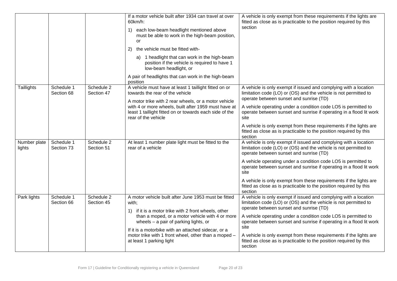|                        |                          |                          | If a motor vehicle built after 1934 can travel at over<br>$60km/h$ :<br>each low-beam headlight mentioned above<br>1)<br>must be able to work in the high-beam position,<br>or<br>2)<br>the vehicle must be fitted with-<br>a) 1 headlight that can work in the high-beam<br>position if the vehicle is required to have 1<br>low-beam headlight, or<br>A pair of headlights that can work in the high-beam<br>position | A vehicle is only exempt from these requirements if the lights are<br>fitted as close as is practicable to the position required by this<br>section                                                                                                                                                                                                                                                                                                                                     |
|------------------------|--------------------------|--------------------------|-------------------------------------------------------------------------------------------------------------------------------------------------------------------------------------------------------------------------------------------------------------------------------------------------------------------------------------------------------------------------------------------------------------------------|-----------------------------------------------------------------------------------------------------------------------------------------------------------------------------------------------------------------------------------------------------------------------------------------------------------------------------------------------------------------------------------------------------------------------------------------------------------------------------------------|
| Taillights             | Schedule 1<br>Section 68 | Schedule 2<br>Section 47 | A vehicle must have at least 1 taillight fitted on or<br>towards the rear of the vehicle<br>A motor trike with 2 rear wheels, or a motor vehicle<br>with 4 or more wheels, built after 1959 must have at<br>least 1 taillight fitted on or towards each side of the<br>rear of the vehicle                                                                                                                              | A vehicle is only exempt if issued and complying with a location<br>limitation code (LO) or (OS) and the vehicle is not permitted to<br>operate between sunset and sunrise (TD)<br>A vehicle operating under a condition code LO5 is permitted to<br>operate between sunset and sunrise if operating in a flood lit work<br>site<br>A vehicle is only exempt from these requirements if the lights are                                                                                  |
| Number plate<br>lights | Schedule 1<br>Section 73 | Schedule 2<br>Section 51 | At least 1 number plate light must be fitted to the<br>rear of a vehicle                                                                                                                                                                                                                                                                                                                                                | fitted as close as is practicable to the position required by this<br>section<br>A vehicle is only exempt if issued and complying with a location<br>limitation code (LO) or (OS) and the vehicle is not permitted to<br>operate between sunset and sunrise (TD)<br>A vehicle operating under a condition code LO5 is permitted to                                                                                                                                                      |
|                        |                          |                          |                                                                                                                                                                                                                                                                                                                                                                                                                         | operate between sunset and sunrise if operating in a flood lit work<br>site<br>A vehicle is only exempt from these requirements if the lights are<br>fitted as close as is practicable to the position required by this<br>section                                                                                                                                                                                                                                                      |
| Park lights            | Schedule 1<br>Section 66 | Schedule 2<br>Section 45 | A motor vehicle built after June 1953 must be fitted<br>with;<br>1) if it is a motor trike with 2 front wheels, other<br>than a moped, or a motor vehicle with 4 or more<br>wheels - a pair of parking lights, or<br>If it is a motorbike with an attached sidecar, or a<br>motor trike with 1 front wheel, other than a moped -<br>at least 1 parking light                                                            | A vehicle is only exempt if issued and complying with a location<br>limitation code (LO) or (OS) and the vehicle is not permitted to<br>operate between sunset and sunrise (TD)<br>A vehicle operating under a condition code LO5 is permitted to<br>operate between sunset and sunrise if operating in a flood lit work<br>site<br>A vehicle is only exempt from these requirements if the lights are<br>fitted as close as is practicable to the position required by this<br>section |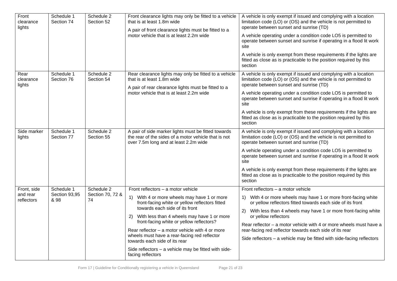| Front<br>clearance<br>lights          | Schedule 1<br>Section 74            | Schedule 2<br>Section 52             | Front clearance lights may only be fitted to a vehicle<br>that is at least 1.8m wide<br>A pair of front clearance lights must be fitted to a<br>motor vehicle that is at least 2.2m wide                                                                                                                                                                                                                                                                                                 | A vehicle is only exempt if issued and complying with a location<br>limitation code (LO) or (OS) and the vehicle is not permitted to<br>operate between sunset and sunrise (TD)<br>A vehicle operating under a condition code LO5 is permitted to<br>operate between sunset and sunrise if operating in a flood lit work<br>site<br>A vehicle is only exempt from these requirements if the lights are<br>fitted as close as is practicable to the position required by this<br>section |
|---------------------------------------|-------------------------------------|--------------------------------------|------------------------------------------------------------------------------------------------------------------------------------------------------------------------------------------------------------------------------------------------------------------------------------------------------------------------------------------------------------------------------------------------------------------------------------------------------------------------------------------|-----------------------------------------------------------------------------------------------------------------------------------------------------------------------------------------------------------------------------------------------------------------------------------------------------------------------------------------------------------------------------------------------------------------------------------------------------------------------------------------|
| Rear<br>clearance<br>lights           | Schedule 1<br>Section 76            | Schedule 2<br>Section 54             | Rear clearance lights may only be fitted to a vehicle<br>that is at least 1.8m wide<br>A pair of rear clearance lights must be fitted to a<br>motor vehicle that is at least 2.2m wide                                                                                                                                                                                                                                                                                                   | A vehicle is only exempt if issued and complying with a location<br>limitation code (LO) or (OS) and the vehicle is not permitted to<br>operate between sunset and sunrise (TD)<br>A vehicle operating under a condition code LO5 is permitted to<br>operate between sunset and sunrise if operating in a flood lit work<br>site<br>A vehicle is only exempt from these requirements if the lights are<br>fitted as close as is practicable to the position required by this<br>section |
| Side marker<br>lights                 | Schedule 1<br>Section 77            | Schedule 2<br>Section 55             | A pair of side marker lights must be fitted towards<br>the rear of the sides of a motor vehicle that is not<br>over 7.5m long and at least 2.2m wide                                                                                                                                                                                                                                                                                                                                     | A vehicle is only exempt if issued and complying with a location<br>limitation code (LO) or (OS) and the vehicle is not permitted to<br>operate between sunset and sunrise (TD)<br>A vehicle operating under a condition code LO5 is permitted to<br>operate between sunset and sunrise if operating in a flood lit work<br>site<br>A vehicle is only exempt from these requirements if the lights are<br>fitted as close as is practicable to the position required by this<br>section |
| Front, side<br>and rear<br>reflectors | Schedule 1<br>Section 93,95<br>& 98 | Schedule 2<br>Section 70, 72 &<br>74 | Front reflectors - a motor vehicle<br>1) With 4 or more wheels may have 1 or more<br>front-facing white or yellow reflectors fitted<br>towards each side of its front<br>With less than 4 wheels may have 1 or more<br>2)<br>front-facing white or yellow reflectors?<br>Rear reflector $-$ a motor vehicle with 4 or more<br>wheels must have a rear-facing red reflector<br>towards each side of its rear<br>Side reflectors - a vehicle may be fitted with side-<br>facing reflectors | Front reflectors - a motor vehicle<br>1) With 4 or more wheels may have 1 or more front-facing white<br>or yellow reflectors fitted towards each side of its front<br>With less than 4 wheels may have 1 or more front-facing white<br>2)<br>or yellow reflectors<br>Rear reflector – a motor vehicle with 4 or more wheels must have a<br>rear-facing red reflector towards each side of its rear<br>Side reflectors – a vehicle may be fitted with side-facing reflectors             |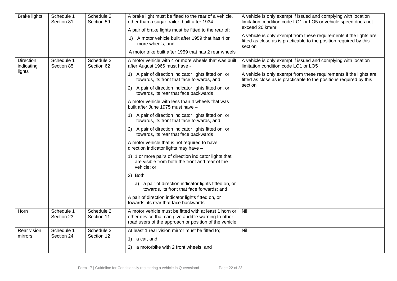| <b>Brake lights</b>    | Schedule 1<br>Section 81 | Schedule 2<br>Section 59 | A brake light must be fitted to the rear of a vehicle,<br>other than a sugar trailer, built after 1934<br>A pair of brake lights must be fitted to the rear of;<br>1) A motor vehicle built after 1959 that has 4 or<br>more wheels, and<br>A motor trike built after 1959 that has 2 rear wheels | A vehicle is only exempt if issued and complying with location<br>limitation condition code LO1 or LO5 or vehicle speed does not<br>exceed 20 km/hr<br>A vehicle is only exempt from these requirements if the lights are<br>fitted as close as is practicable to the position required by this<br>section |
|------------------------|--------------------------|--------------------------|---------------------------------------------------------------------------------------------------------------------------------------------------------------------------------------------------------------------------------------------------------------------------------------------------|------------------------------------------------------------------------------------------------------------------------------------------------------------------------------------------------------------------------------------------------------------------------------------------------------------|
| Direction              | Schedule 1               | Schedule 2               | A motor vehicle with 4 or more wheels that was built                                                                                                                                                                                                                                              | A vehicle is only exempt if issued and complying with location                                                                                                                                                                                                                                             |
| indicating<br>lights   | Section 85               | Section 62               | after August 1966 must have -                                                                                                                                                                                                                                                                     | limitation condition code LO1 or LO5                                                                                                                                                                                                                                                                       |
|                        |                          |                          | 1) A pair of direction indicator lights fitted on, or<br>towards, its front that face forwards, and                                                                                                                                                                                               | A vehicle is only exempt from these requirements if the lights are<br>fitted as close as is practicable to the positions required by this<br>section                                                                                                                                                       |
|                        |                          |                          | A pair of direction indicator lights fitted on, or<br>2)<br>towards, its rear that face backwards                                                                                                                                                                                                 |                                                                                                                                                                                                                                                                                                            |
|                        |                          |                          | A motor vehicle with less than 4 wheels that was<br>built after June 1975 must have -                                                                                                                                                                                                             |                                                                                                                                                                                                                                                                                                            |
|                        |                          |                          | 1) A pair of direction indicator lights fitted on, or<br>towards, its front that face forwards, and                                                                                                                                                                                               |                                                                                                                                                                                                                                                                                                            |
|                        |                          |                          | 2) A pair of direction indicator lights fitted on, or<br>towards, its rear that face backwards                                                                                                                                                                                                    |                                                                                                                                                                                                                                                                                                            |
|                        |                          |                          | A motor vehicle that is not required to have<br>direction indicator lights may have -                                                                                                                                                                                                             |                                                                                                                                                                                                                                                                                                            |
|                        |                          |                          | 1) 1 or more pairs of direction indicator lights that<br>are visible from both the front and rear of the<br>vehicle; or                                                                                                                                                                           |                                                                                                                                                                                                                                                                                                            |
|                        |                          |                          | 2) Both                                                                                                                                                                                                                                                                                           |                                                                                                                                                                                                                                                                                                            |
|                        |                          |                          | a) a pair of direction indicator lights fitted on, or<br>towards, its front that face forwards; and                                                                                                                                                                                               |                                                                                                                                                                                                                                                                                                            |
|                        |                          |                          | A pair of direction indicator lights fitted on, or<br>towards, its rear that face backwards                                                                                                                                                                                                       |                                                                                                                                                                                                                                                                                                            |
| Horn                   | Schedule 1<br>Section 23 | Schedule 2<br>Section 11 | A motor vehicle must be fitted with at least 1 horn or<br>other device that can give audible warning to other<br>road users of the approach or position of the vehicle                                                                                                                            | Nil                                                                                                                                                                                                                                                                                                        |
| Rear vision<br>mirrors | Schedule 1<br>Section 24 | Schedule 2<br>Section 12 | At least 1 rear vision mirror must be fitted to;                                                                                                                                                                                                                                                  | Nil                                                                                                                                                                                                                                                                                                        |
|                        |                          |                          | 1) a car, and                                                                                                                                                                                                                                                                                     |                                                                                                                                                                                                                                                                                                            |
|                        |                          |                          | 2) a motorbike with 2 front wheels, and                                                                                                                                                                                                                                                           |                                                                                                                                                                                                                                                                                                            |